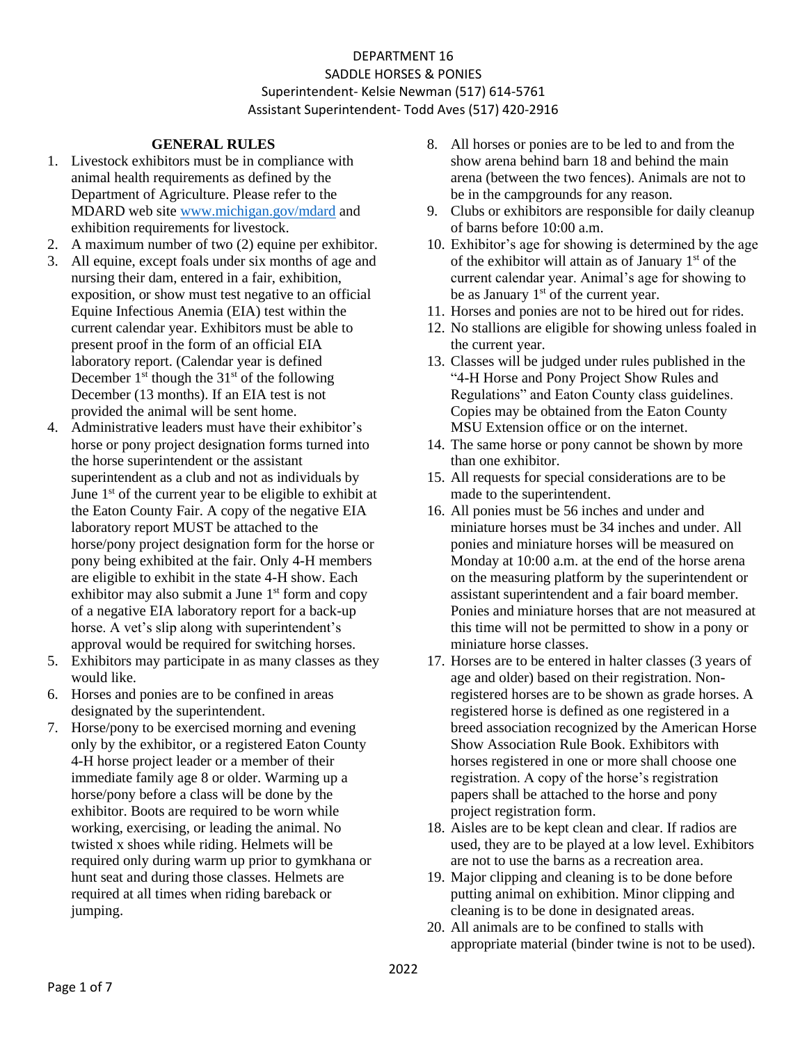# **GENERAL RULES**

- 1. Livestock exhibitors must be in compliance with animal health requirements as defined by the Department of Agriculture. Please refer to the MDARD web site [www.michigan.gov/mdard](http://www.michigan.gov/mdard) and exhibition requirements for livestock.
- 2. A maximum number of two (2) equine per exhibitor.
- 3. All equine, except foals under six months of age and nursing their dam, entered in a fair, exhibition, exposition, or show must test negative to an official Equine Infectious Anemia (EIA) test within the current calendar year. Exhibitors must be able to present proof in the form of an official EIA laboratory report. (Calendar year is defined December  $1<sup>st</sup>$  though the  $31<sup>st</sup>$  of the following December (13 months). If an EIA test is not provided the animal will be sent home.
- 4. Administrative leaders must have their exhibitor's horse or pony project designation forms turned into the horse superintendent or the assistant superintendent as a club and not as individuals by June 1<sup>st</sup> of the current year to be eligible to exhibit at the Eaton County Fair. A copy of the negative EIA laboratory report MUST be attached to the horse/pony project designation form for the horse or pony being exhibited at the fair. Only 4-H members are eligible to exhibit in the state 4-H show. Each exhibitor may also submit a June 1<sup>st</sup> form and copy of a negative EIA laboratory report for a back-up horse. A vet's slip along with superintendent's approval would be required for switching horses.
- 5. Exhibitors may participate in as many classes as they would like.
- 6. Horses and ponies are to be confined in areas designated by the superintendent.
- 7. Horse/pony to be exercised morning and evening only by the exhibitor, or a registered Eaton County 4-H horse project leader or a member of their immediate family age 8 or older. Warming up a horse/pony before a class will be done by the exhibitor. Boots are required to be worn while working, exercising, or leading the animal. No twisted x shoes while riding. Helmets will be required only during warm up prior to gymkhana or hunt seat and during those classes. Helmets are required at all times when riding bareback or jumping.
- 8. All horses or ponies are to be led to and from the show arena behind barn 18 and behind the main arena (between the two fences). Animals are not to be in the campgrounds for any reason.
- 9. Clubs or exhibitors are responsible for daily cleanup of barns before 10:00 a.m.
- 10. Exhibitor's age for showing is determined by the age of the exhibitor will attain as of January  $1<sup>st</sup>$  of the current calendar year. Animal's age for showing to be as January  $1<sup>st</sup>$  of the current year.
- 11. Horses and ponies are not to be hired out for rides.
- 12. No stallions are eligible for showing unless foaled in the current year.
- 13. Classes will be judged under rules published in the "4-H Horse and Pony Project Show Rules and Regulations" and Eaton County class guidelines. Copies may be obtained from the Eaton County MSU Extension office or on the internet.
- 14. The same horse or pony cannot be shown by more than one exhibitor.
- 15. All requests for special considerations are to be made to the superintendent.
- 16. All ponies must be 56 inches and under and miniature horses must be 34 inches and under. All ponies and miniature horses will be measured on Monday at 10:00 a.m. at the end of the horse arena on the measuring platform by the superintendent or assistant superintendent and a fair board member. Ponies and miniature horses that are not measured at this time will not be permitted to show in a pony or miniature horse classes.
- 17. Horses are to be entered in halter classes (3 years of age and older) based on their registration. Nonregistered horses are to be shown as grade horses. A registered horse is defined as one registered in a breed association recognized by the American Horse Show Association Rule Book. Exhibitors with horses registered in one or more shall choose one registration. A copy of the horse's registration papers shall be attached to the horse and pony project registration form.
- 18. Aisles are to be kept clean and clear. If radios are used, they are to be played at a low level. Exhibitors are not to use the barns as a recreation area.
- 19. Major clipping and cleaning is to be done before putting animal on exhibition. Minor clipping and cleaning is to be done in designated areas.
- 20. All animals are to be confined to stalls with appropriate material (binder twine is not to be used).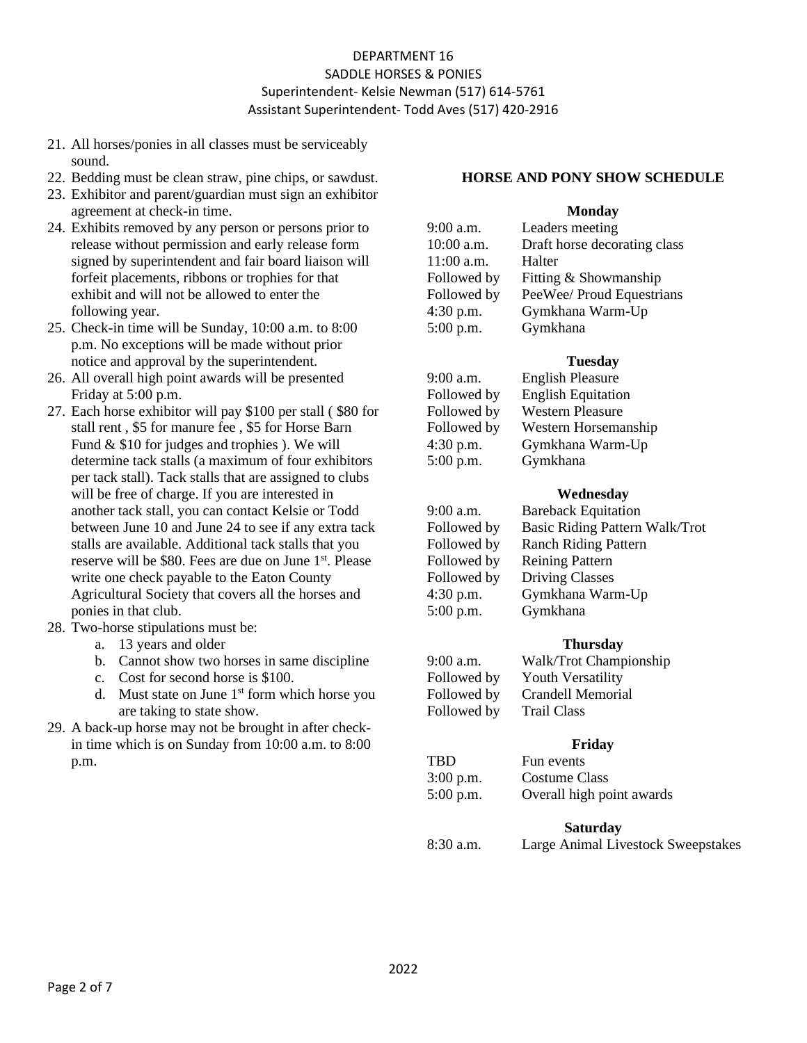- 21. All horses/ponies in all classes must be serviceably sound.
- 22. Bedding must be clean straw, pine chips, or sawdust.
- 23. Exhibitor and parent/guardian must sign an exhibitor agreement at check-in time.
- 24. Exhibits removed by any person or persons prior to release without permission and early release form signed by superintendent and fair board liaison will forfeit placements, ribbons or trophies for that exhibit and will not be allowed to enter the following year.
- 25. Check-in time will be Sunday, 10:00 a.m. to 8:00 p.m. No exceptions will be made without prior notice and approval by the superintendent.
- 26. All overall high point awards will be presented Friday at 5:00 p.m.
- 27. Each horse exhibitor will pay \$100 per stall ( \$80 for stall rent , \$5 for manure fee , \$5 for Horse Barn Fund & \$10 for judges and trophies ). We will determine tack stalls (a maximum of four exhibitors per tack stall). Tack stalls that are assigned to clubs will be free of charge. If you are interested in another tack stall, you can contact Kelsie or Todd between June 10 and June 24 to see if any extra tack stalls are available. Additional tack stalls that you reserve will be \$80. Fees are due on June 1st. Please write one check payable to the Eaton County Agricultural Society that covers all the horses and ponies in that club.
- 28. Two-horse stipulations must be:
	- a. 13 years and older
	- b. Cannot show two horses in same discipline
	- c. Cost for second horse is \$100.
	- d. Must state on June 1<sup>st</sup> form which horse you are taking to state show.
- 29. A back-up horse may not be brought in after checkin time which is on Sunday from 10:00 a.m. to 8:00 p.m.

# **HORSE AND PONY SHOW SCHEDULE**

#### **Monday**

| Leaders meeting              |
|------------------------------|
| Draft horse decorating class |
| Halter                       |
| Fitting & Showmanship        |
| PeeWee/ Proud Equestrians    |
| Gymkhana Warm-Up             |
| Gymkhana                     |
|                              |

# **Tuesday**

9:00 a.m. English Pleasure Followed by English Equitation Followed by Western Pleasure Followed by Western Horsemanship 4:30 p.m. Gymkhana Warm-Up 5:00 p.m. Gymkhana

### **Wednesday**

9:00 a.m. Bareback Equitation Followed by Basic Riding Pattern Walk/Trot Followed by Ranch Riding Pattern Followed by Reining Pattern Followed by Driving Classes 4:30 p.m. Gymkhana Warm-Up 5:00 p.m. Gymkhana

# **Thursday**

9:00 a.m. Walk/Trot Championship Followed by Youth Versatility Followed by Crandell Memorial Followed by Trail Class

# **Friday**

TBD Fun events 3:00 p.m. Costume Class 5:00 p.m. Overall high point awards **Saturday** 8:30 a.m. Large Animal Livestock Sweepstakes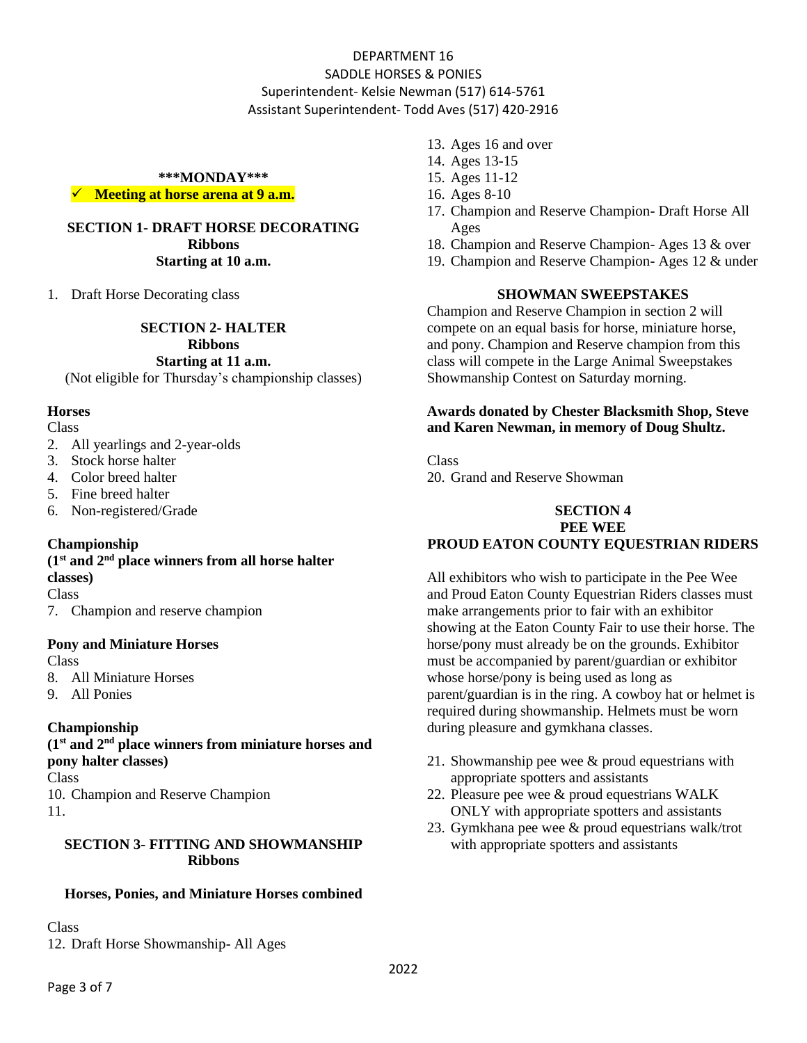#### **\*\*\*MONDAY\*\*\***

✓ **Meeting at horse arena at 9 a.m.**

# **SECTION 1- DRAFT HORSE DECORATING Ribbons Starting at 10 a.m.**

1. Draft Horse Decorating class

#### **SECTION 2- HALTER Ribbons Starting at 11 a.m.**

(Not eligible for Thursday's championship classes)

# **Horses**

Class

- 2. All yearlings and 2-year-olds
- 3. Stock horse halter
- 4. Color breed halter
- 5. Fine breed halter
- 6. Non-registered/Grade

# **Championship**

# **(1st and 2nd place winners from all horse halter classes)**

**Class** 

7. Champion and reserve champion

# **Pony and Miniature Horses**

Class

- 8. All Miniature Horses
- 9. All Ponies

# **Championship**

**(1st and 2nd place winners from miniature horses and pony halter classes)** Class 10. Champion and Reserve Champion 11.

### **SECTION 3- FITTING AND SHOWMANSHIP Ribbons**

# **Horses, Ponies, and Miniature Horses combined**

Class

12. Draft Horse Showmanship- All Ages

- 13. Ages 16 and over
- 14. Ages 13-15
- 15. Ages 11-12
- 16. Ages 8-10
- 17. Champion and Reserve Champion- Draft Horse All Ages
- 18. Champion and Reserve Champion- Ages 13 & over
- 19. Champion and Reserve Champion- Ages 12 & under

# **SHOWMAN SWEEPSTAKES**

Champion and Reserve Champion in section 2 will compete on an equal basis for horse, miniature horse, and pony. Champion and Reserve champion from this class will compete in the Large Animal Sweepstakes Showmanship Contest on Saturday morning.

# **Awards donated by Chester Blacksmith Shop, Steve and Karen Newman, in memory of Doug Shultz.**

Class 20. Grand and Reserve Showman

# **SECTION 4 PEE WEE PROUD EATON COUNTY EQUESTRIAN RIDERS**

All exhibitors who wish to participate in the Pee Wee and Proud Eaton County Equestrian Riders classes must make arrangements prior to fair with an exhibitor showing at the Eaton County Fair to use their horse. The horse/pony must already be on the grounds. Exhibitor must be accompanied by parent/guardian or exhibitor whose horse/pony is being used as long as parent/guardian is in the ring. A cowboy hat or helmet is required during showmanship. Helmets must be worn during pleasure and gymkhana classes.

- 21. Showmanship pee wee & proud equestrians with appropriate spotters and assistants
- 22. Pleasure pee wee & proud equestrians WALK ONLY with appropriate spotters and assistants
- 23. Gymkhana pee wee & proud equestrians walk/trot with appropriate spotters and assistants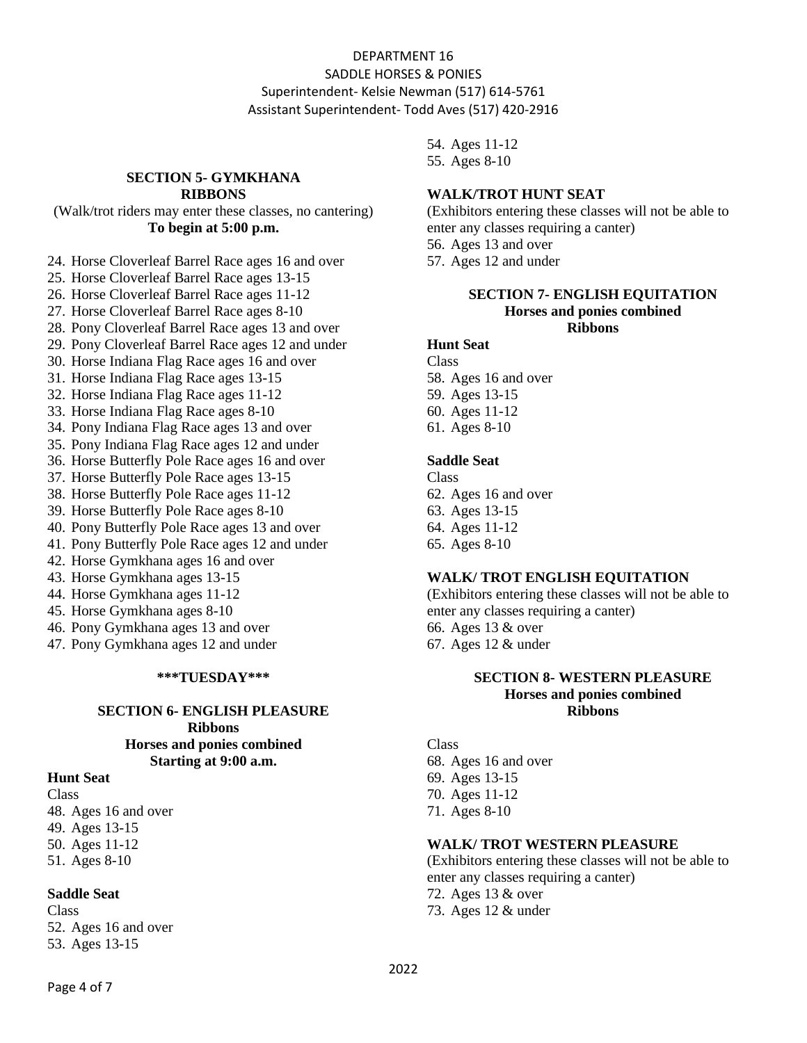### **SECTION 5- GYMKHANA RIBBONS**

# (Walk/trot riders may enter these classes, no cantering) **To begin at 5:00 p.m.**

- 24. Horse Cloverleaf Barrel Race ages 16 and over
- 25. Horse Cloverleaf Barrel Race ages 13-15
- 26. Horse Cloverleaf Barrel Race ages 11-12
- 27. Horse Cloverleaf Barrel Race ages 8-10
- 28. Pony Cloverleaf Barrel Race ages 13 and over
- 29. Pony Cloverleaf Barrel Race ages 12 and under
- 30. Horse Indiana Flag Race ages 16 and over
- 31. Horse Indiana Flag Race ages 13-15
- 32. Horse Indiana Flag Race ages 11-12
- 33. Horse Indiana Flag Race ages 8-10
- 34. Pony Indiana Flag Race ages 13 and over
- 35. Pony Indiana Flag Race ages 12 and under
- 36. Horse Butterfly Pole Race ages 16 and over
- 37. Horse Butterfly Pole Race ages 13-15
- 38. Horse Butterfly Pole Race ages 11-12
- 39. Horse Butterfly Pole Race ages 8-10
- 40. Pony Butterfly Pole Race ages 13 and over
- 41. Pony Butterfly Pole Race ages 12 and under
- 42. Horse Gymkhana ages 16 and over
- 43. Horse Gymkhana ages 13-15
- 44. Horse Gymkhana ages 11-12
- 45. Horse Gymkhana ages 8-10
- 46. Pony Gymkhana ages 13 and over
- 47. Pony Gymkhana ages 12 and under

#### **\*\*\*TUESDAY\*\*\***

### **SECTION 6- ENGLISH PLEASURE Ribbons Horses and ponies combined Starting at 9:00 a.m.**

#### **Hunt Seat**

Class 48. Ages 16 and over 49. Ages 13-15 50. Ages 11-12 51. Ages 8-10

#### **Saddle Seat**

Class 52. Ages 16 and over 53. Ages 13-15

54. Ages 11-12 55. Ages 8-10

# **WALK/TROT HUNT SEAT**

(Exhibitors entering these classes will not be able to enter any classes requiring a canter) 56. Ages 13 and over 57. Ages 12 and under

#### **SECTION 7- ENGLISH EQUITATION Horses and ponies combined Ribbons**

# **Hunt Seat**

**Class** 58. Ages 16 and over 59. Ages 13-15 60. Ages 11-12 61. Ages 8-10

# **Saddle Seat**

**Class** 62. Ages 16 and over 63. Ages 13-15 64. Ages 11-12 65. Ages 8-10

#### **WALK/ TROT ENGLISH EQUITATION**

(Exhibitors entering these classes will not be able to enter any classes requiring a canter) 66. Ages 13 & over 67. Ages 12 & under

#### **SECTION 8- WESTERN PLEASURE Horses and ponies combined Ribbons**

### Class 68. Ages 16 and over 69. Ages 13-15 70. Ages 11-12

- 71. Ages 8-10
- 

# **WALK/ TROT WESTERN PLEASURE**

(Exhibitors entering these classes will not be able to enter any classes requiring a canter) 72. Ages 13 & over

73. Ages 12 & under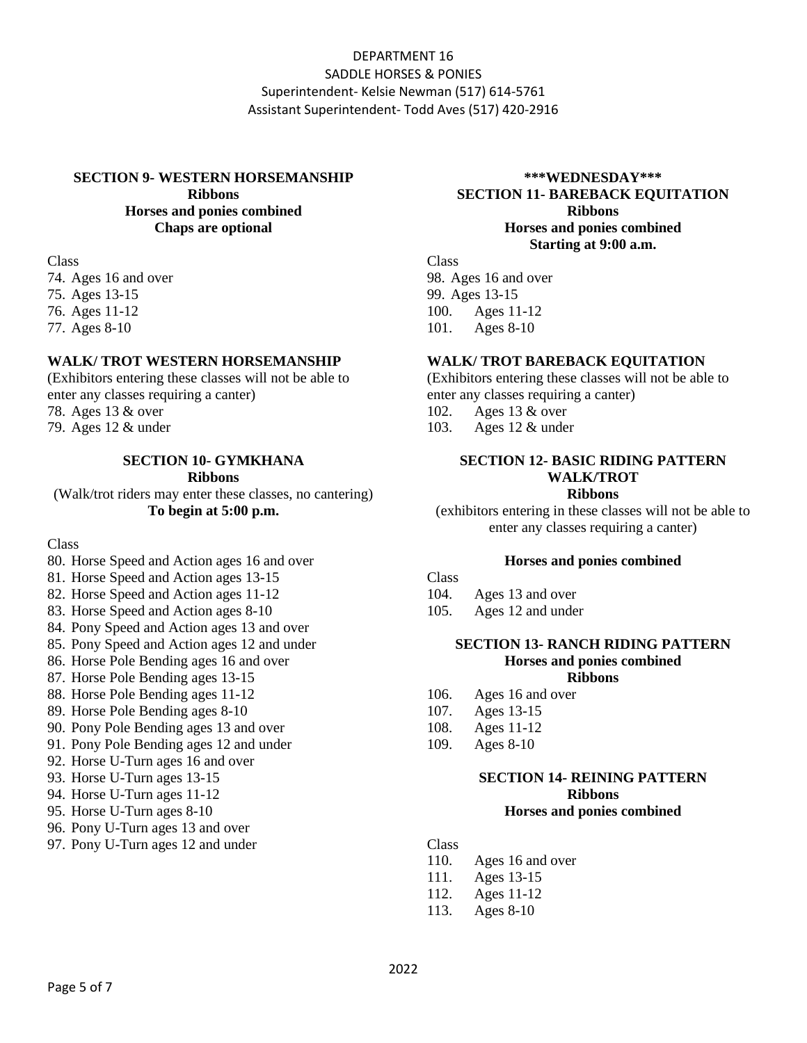# **SECTION 9- WESTERN HORSEMANSHIP**

**Ribbons Horses and ponies combined Chaps are optional** 

Class

74. Ages 16 and over 75. Ages 13-15 76. Ages 11-12 77. Ages 8-10

# **WALK/ TROT WESTERN HORSEMANSHIP**

(Exhibitors entering these classes will not be able to enter any classes requiring a canter) 78. Ages 13 & over 79. Ages 12 & under

# **SECTION 10- GYMKHANA**

**Ribbons** 

(Walk/trot riders may enter these classes, no cantering) **To begin at 5:00 p.m.**

**Class** 

- 80. Horse Speed and Action ages 16 and over
- 81. Horse Speed and Action ages 13-15
- 82. Horse Speed and Action ages 11-12
- 83. Horse Speed and Action ages 8-10
- 84. Pony Speed and Action ages 13 and over
- 85. Pony Speed and Action ages 12 and under
- 86. Horse Pole Bending ages 16 and over
- 87. Horse Pole Bending ages 13-15
- 88. Horse Pole Bending ages 11-12
- 89. Horse Pole Bending ages 8-10
- 90. Pony Pole Bending ages 13 and over
- 91. Pony Pole Bending ages 12 and under
- 92. Horse U-Turn ages 16 and over
- 93. Horse U-Turn ages 13-15
- 94. Horse U-Turn ages 11-12
- 95. Horse U-Turn ages 8-10
- 96. Pony U-Turn ages 13 and over
- 97. Pony U-Turn ages 12 and under

# **\*\*\*WEDNESDAY\*\*\* SECTION 11- BAREBACK EQUITATION Ribbons Horses and ponies combined Starting at 9:00 a.m.**

**Class** 98. Ages 16 and over 99. Ages 13-15 100. Ages 11-12 101. Ages 8-10

### **WALK/ TROT BAREBACK EQUITATION**

(Exhibitors entering these classes will not be able to enter any classes requiring a canter)

- 102. Ages 13 & over
- 103. Ages 12 & under

# **SECTION 12- BASIC RIDING PATTERN WALK/TROT**

# **Ribbons**

(exhibitors entering in these classes will not be able to enter any classes requiring a canter)

# **Horses and ponies combined**

#### **Class**

- 104. Ages 13 and over
- 105. Ages 12 and under

#### **SECTION 13- RANCH RIDING PATTERN Horses and ponies combined Ribbons**

- 106. Ages 16 and over
- 107. Ages 13-15
- 108. Ages 11-12
- 109. Ages 8-10

# **SECTION 14- REINING PATTERN Ribbons Horses and ponies combined**

#### Class

- 110. Ages 16 and over
- 111. Ages 13-15
- 112. Ages 11-12
- 113. Ages 8-10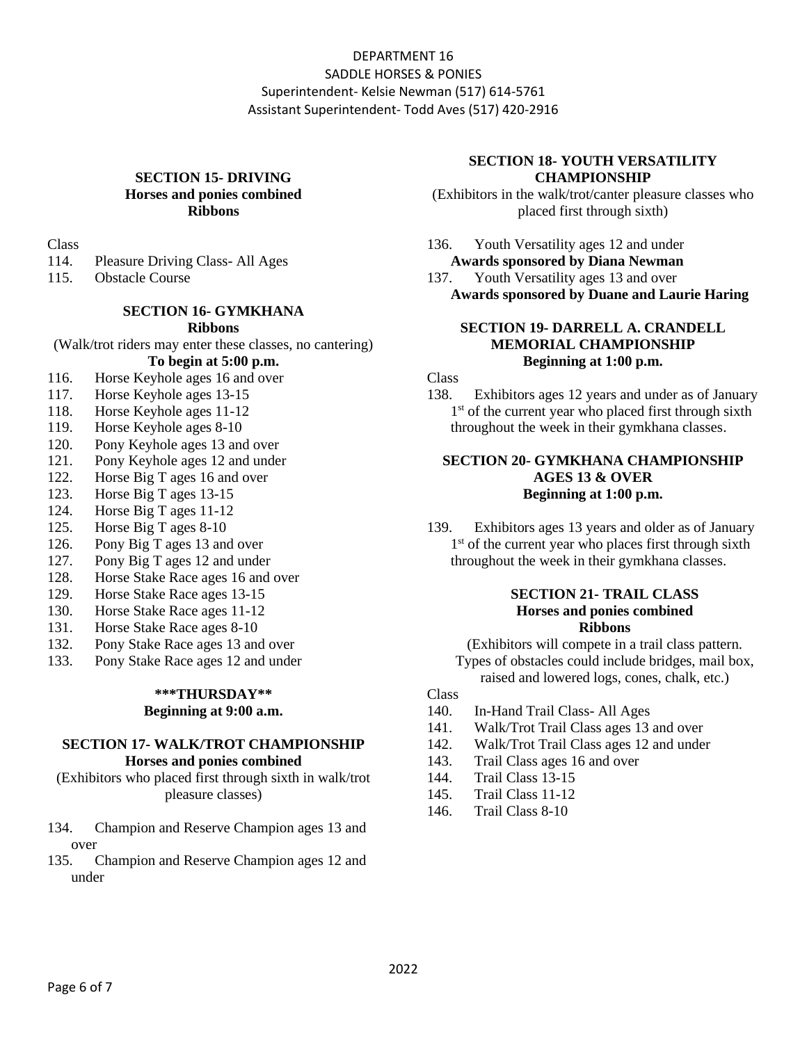# **SECTION 15- DRIVING Horses and ponies combined Ribbons**

Class

114. Pleasure Driving Class- All Ages

115. Obstacle Course

### **SECTION 16- GYMKHANA Ribbons**

- (Walk/trot riders may enter these classes, no cantering) **To begin at 5:00 p.m.**
- 116. Horse Keyhole ages 16 and over
- 117. Horse Keyhole ages 13-15
- 118. Horse Keyhole ages 11-12
- 119. Horse Keyhole ages 8-10
- 120. Pony Keyhole ages 13 and over
- 121. Pony Keyhole ages 12 and under
- 122. Horse Big T ages 16 and over
- 123. Horse Big T ages 13-15
- 124. Horse Big T ages 11-12
- 125. Horse Big T ages 8-10
- 126. Pony Big T ages 13 and over
- 127. Pony Big T ages 12 and under
- 128. Horse Stake Race ages 16 and over
- 129. Horse Stake Race ages 13-15
- 130. Horse Stake Race ages 11-12
- 131. Horse Stake Race ages 8-10
- 132. Pony Stake Race ages 13 and over
- 133. Pony Stake Race ages 12 and under

# **\*\*\*THURSDAY\*\***

# **Beginning at 9:00 a.m.**

# **SECTION 17- WALK/TROT CHAMPIONSHIP Horses and ponies combined**

(Exhibitors who placed first through sixth in walk/trot pleasure classes)

- 134. Champion and Reserve Champion ages 13 and over
- 135. Champion and Reserve Champion ages 12 and under

### **SECTION 18- YOUTH VERSATILITY CHAMPIONSHIP**

(Exhibitors in the walk/trot/canter pleasure classes who placed first through sixth)

136. Youth Versatility ages 12 and under **Awards sponsored by Diana Newman**  137. Youth Versatility ages 13 and over

**Awards sponsored by Duane and Laurie Haring** 

# **SECTION 19- DARRELL A. CRANDELL MEMORIAL CHAMPIONSHIP Beginning at 1:00 p.m.**

### **Class**

138. Exhibitors ages 12 years and under as of January 1<sup>st</sup> of the current year who placed first through sixth throughout the week in their gymkhana classes.

### **SECTION 20- GYMKHANA CHAMPIONSHIP AGES 13 & OVER Beginning at 1:00 p.m.**

139. Exhibitors ages 13 years and older as of January 1<sup>st</sup> of the current year who places first through sixth throughout the week in their gymkhana classes.

### **SECTION 21- TRAIL CLASS Horses and ponies combined Ribbons**

(Exhibitors will compete in a trail class pattern. Types of obstacles could include bridges, mail box, raised and lowered logs, cones, chalk, etc.)

**Class** 

- 140. In-Hand Trail Class- All Ages
- 141. Walk/Trot Trail Class ages 13 and over
- 142. Walk/Trot Trail Class ages 12 and under
- 143. Trail Class ages 16 and over
- 144. Trail Class 13-15
- 145. Trail Class 11-12
- 146. Trail Class 8-10